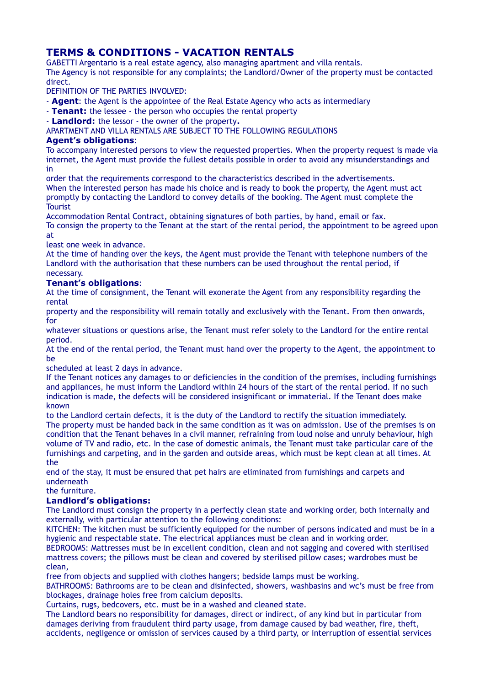# **TERMS & CONDITIONS - VACATION RENTALS**

GABETTI Argentario is a real estate agency, also managing apartment and villa rentals. The Agency is not responsible for any complaints; the Landlord/Owner of the property must be contacted direct.

DEFINITION OF THE PARTIES INVOLVED:

- **Agent**: the Agent is the appointee of the Real Estate Agency who acts as intermediary

- **Tenant:** the lessee - the person who occupies the rental property

- **Landlord:** the lessor - the owner of the property**.**

APARTMENT AND VILLA RENTALS ARE SUBJECT TO THE FOLLOWING REGULATIONS

#### **Agent's obligations**:

To accompany interested persons to view the requested properties. When the property request is made via internet, the Agent must provide the fullest details possible in order to avoid any misunderstandings and in

order that the requirements correspond to the characteristics described in the advertisements. When the interested person has made his choice and is ready to book the property, the Agent must act promptly by contacting the Landlord to convey details of the booking. The Agent must complete the **Tourist** 

Accommodation Rental Contract, obtaining signatures of both parties, by hand, email or fax.

To consign the property to the Tenant at the start of the rental period, the appointment to be agreed upon at

least one week in advance.

At the time of handing over the keys, the Agent must provide the Tenant with telephone numbers of the Landlord with the authorisation that these numbers can be used throughout the rental period, if necessary.

#### **Tenant's obligations**:

At the time of consignment, the Tenant will exonerate the Agent from any responsibility regarding the rental

property and the responsibility will remain totally and exclusively with the Tenant. From then onwards, for

whatever situations or questions arise, the Tenant must refer solely to the Landlord for the entire rental period.

At the end of the rental period, the Tenant must hand over the property to the Agent, the appointment to be

scheduled at least 2 days in advance.

If the Tenant notices any damages to or deficiencies in the condition of the premises, including furnishings and appliances, he must inform the Landlord within 24 hours of the start of the rental period. If no such indication is made, the defects will be considered insignificant or immaterial. If the Tenant does make known

to the Landlord certain defects, it is the duty of the Landlord to rectify the situation immediately. The property must be handed back in the same condition as it was on admission. Use of the premises is on condition that the Tenant behaves in a civil manner, refraining from loud noise and unruly behaviour, high volume of TV and radio, etc. In the case of domestic animals, the Tenant must take particular care of the furnishings and carpeting, and in the garden and outside areas, which must be kept clean at all times. At the

end of the stay, it must be ensured that pet hairs are eliminated from furnishings and carpets and underneath

the furniture.

#### **Landlord's obligations:**

The Landlord must consign the property in a perfectly clean state and working order, both internally and externally, with particular attention to the following conditions:

KITCHEN: The kitchen must be sufficiently equipped for the number of persons indicated and must be in a hygienic and respectable state. The electrical appliances must be clean and in working order.

BEDROOMS: Mattresses must be in excellent condition, clean and not sagging and covered with sterilised mattress covers; the pillows must be clean and covered by sterilised pillow cases; wardrobes must be clean,

free from objects and supplied with clothes hangers; bedside lamps must be working.

BATHROOMS: Bathrooms are to be clean and disinfected, showers, washbasins and wc's must be free from blockages, drainage holes free from calcium deposits.

Curtains, rugs, bedcovers, etc. must be in a washed and cleaned state.

The Landlord bears no responsibility for damages, direct or indirect, of any kind but in particular from damages deriving from fraudulent third party usage, from damage caused by bad weather, fire, theft, accidents, negligence or omission of services caused by a third party, or interruption of essential services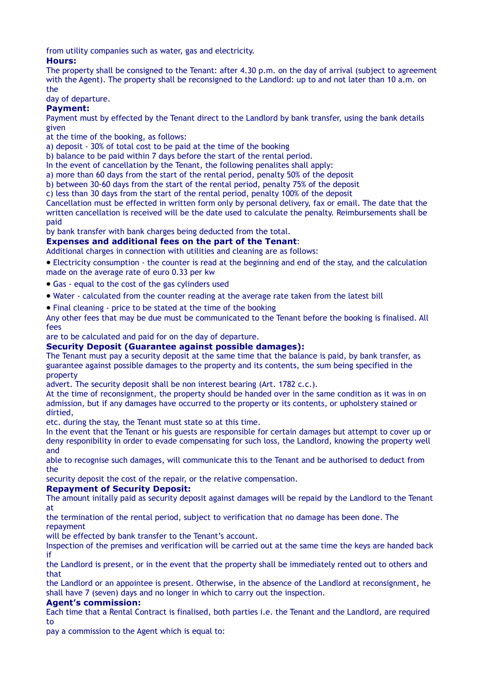from utility companies such as water, gas and electricity.

# **Hours:**

The property shall be consigned to the Tenant: after 4.30 p.m. on the day of arrival (subject to agreement with the Agent). The property shall be reconsigned to the Landlord: up to and not later than 10 a.m. on the

# day of departure.

#### **Payment:**

Payment must by effected by the Tenant direct to the Landlord by bank transfer, using the bank details given

- at the time of the booking, as follows:
- a) deposit 30% of total cost to be paid at the time of the booking
- b) balance to be paid within 7 days before the start of the rental period.
- In the event of cancellation by the Tenant, the following penalites shall apply:
- a) more than 60 days from the start of the rental period, penalty 50% of the deposit
- b) between 30-60 days from the start of the rental period, penalty 75% of the deposit
- c) less than 30 days from the start of the rental period, penalty 100% of the deposit

Cancellation must be effected in written form only by personal delivery, fax or email. The date that the written cancellation is received will be the date used to calculate the penalty. Reimbursements shall be paid

by bank transfer with bank charges being deducted from the total.

#### **Expenses and additional fees on the part of the Tenant**:

Additional charges in connection with utilities and cleaning are as follows:

· Electricity consumption - the counter is read at the beginning and end of the stay, and the calculation made on the average rate of euro 0.33 per kw

- · Gas equal to the cost of the gas cylinders used
- · Water calculated from the counter reading at the average rate taken from the latest bill
- · Final cleaning price to be stated at the time of the booking

Any other fees that may be due must be communicated to the Tenant before the booking is finalised. All fees

are to be calculated and paid for on the day of departure.

## **Security Deposit (Guarantee against possible damages):**

The Tenant must pay a security deposit at the same time that the balance is paid, by bank transfer, as guarantee against possible damages to the property and its contents, the sum being specified in the property

advert. The security deposit shall be non interest bearing (Art. 1782 c.c.).

At the time of reconsignment, the property should be handed over in the same condition as it was in on admission, but if any damages have occurred to the property or its contents, or upholstery stained or dirtied,

etc. during the stay, the Tenant must state so at this time.

In the event that the Tenant or his guests are responsible for certain damages but attempt to cover up or deny responibility in order to evade compensating for such loss, the Landlord, knowing the property well and

able to recognise such damages, will communicate this to the Tenant and be authorised to deduct from the

security deposit the cost of the repair, or the relative compensation.

# **Repayment of Security Deposit:**

The amount initally paid as security deposit against damages will be repaid by the Landlord to the Tenant at

the termination of the rental period, subject to verification that no damage has been done. The repayment

will be effected by bank transfer to the Tenant's account.

Inspection of the premises and verification will be carried out at the same time the keys are handed back if

the Landlord is present, or in the event that the property shall be immediately rented out to others and that

the Landlord or an appointee is present. Otherwise, in the absence of the Landlord at reconsignment, he shall have 7 (seven) days and no longer in which to carry out the inspection.

## **Agent's commission:**

Each time that a Rental Contract is finalised, both parties i.e. the Tenant and the Landlord, are required to

pay a commission to the Agent which is equal to: